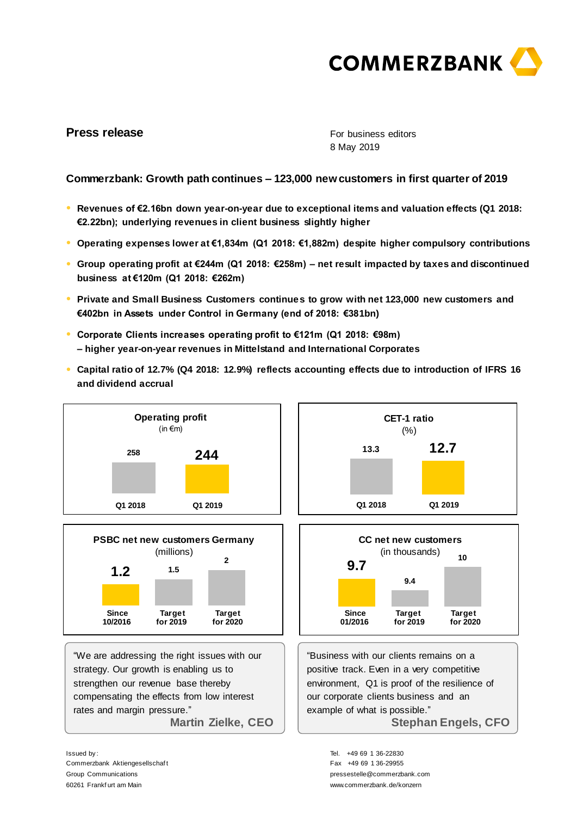

# **Press release**

For business editors 8 May 2019

## **Commerzbank: Growth path continues – 123,000 new customers in first quarter of 2019**

- **● Revenues of €2.16bn down year-on-year due to exceptional items and valuation effects (Q1 2018: €2.22bn); underlying revenues in client business slightly higher**
- **● Operating expenses lower at €1,834m (Q1 2018: €1,882m) despite higher compulsory contributions**
- **● Group operating profit at €244m (Q1 2018: €258m) – net result impacted by taxes and discontinued business at €120m (Q1 2018: €262m)**
- **● Private and Small Business Customers continues to grow with net 123,000 new customers and €402bn in Assets under Control in Germany (end of 2018: €381bn)**
- **● Corporate Clients increases operating profit to €121m (Q1 2018: €98m) – higher year-on-year revenues in Mittelstand and International Corporates**
- **● Capital ratio of 12.7% (Q4 2018: 12.9%) reflects accounting effects due to introduction of IFRS 16 and dividend accrual**





"We are addressing the right issues with our strategy. Our growth is enabling us to strengthen our revenue base thereby compensating the effects from low interest rates and margin pressure." **Martin Zielke, CEO** 





"Business with our clients remains on a positive track. Even in a very competitive environment, Q1 is proof of the resilience of our corporate clients business and an example of what is possible." **Stephan Engels, CFO** 

> Tel. +49 69 1 36-22830 Fax +49 69 1 36-29955 pressestelle@commerzbank.com www.commerzbank.de/konzern

Issued by : Commerzbank Aktiengesellschaf t Group Communications 60261 Frankf urt am Main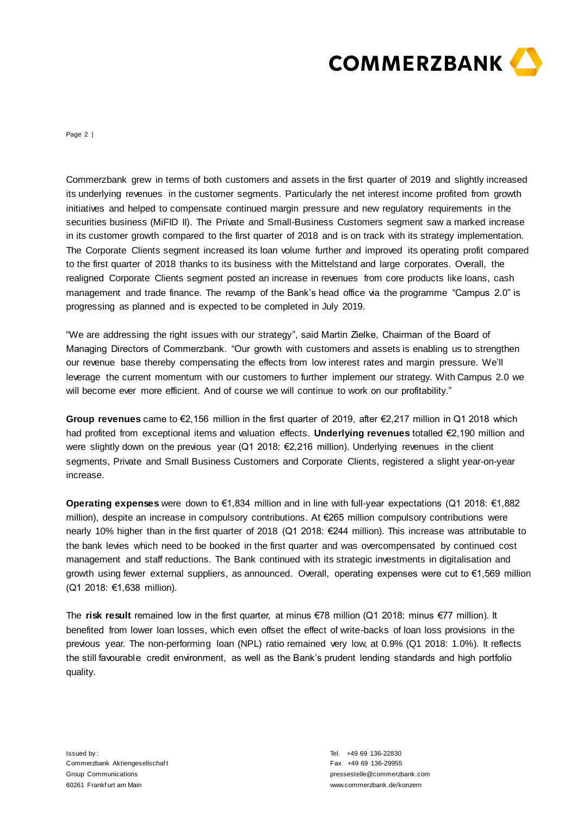

Page 2 |

Commerzbank grew in terms of both customers and assets in the first quarter of 2019 and slightly increased its underlying revenues in the customer segments. Particularly the net interest income profited from growth initiatives and helped to compensate continued margin pressure and new regulatory requirements in the securities business (MiFID II). The Private and Small-Business Customers segment saw a marked increase in its customer growth compared to the first quarter of 2018 and is on track with its strategy implementation. The Corporate Clients segment increased its loan volume further and improved its operating profit compared to the first quarter of 2018 thanks to its business with the Mittelstand and large corporates. Overall, the realigned Corporate Clients segment posted an increase in revenues from core products like loans, cash management and trade finance. The revamp of the Bank's head office via the programme "Campus 2.0" is progressing as planned and is expected to be completed in July 2019.

"We are addressing the right issues with our strategy", said Martin Zielke, Chairman of the Board of Managing Directors of Commerzbank. "Our growth with customers and assets is enabling us to strengthen our revenue base thereby compensating the effects from low interest rates and margin pressure. We'll leverage the current momentum with our customers to further implement our strategy. With Campus 2.0 we will become ever more efficient. And of course we will continue to work on our profitability."

**Group revenues** came to €2,156 million in the first quarter of 2019, after €2,217 million in Q1 2018 which had profited from exceptional items and valuation effects. **Underlying revenues** totalled €2,190 million and were slightly down on the previous year (Q1 2018: €2,216 million). Underlying revenues in the client segments, Private and Small Business Customers and Corporate Clients, registered a slight year-on-year increase.

**Operating expenses** were down to €1,834 million and in line with full-year expectations (Q1 2018: €1,882 million), despite an increase in compulsory contributions. At €265 million compulsory contributions were nearly 10% higher than in the first quarter of 2018 (Q1 2018: €244 million). This increase was attributable to the bank levies which need to be booked in the first quarter and was overcompensated by continued cost management and staff reductions. The Bank continued with its strategic investments in digitalisation and growth using fewer external suppliers, as announced. Overall, operating expenses were cut to €1,569 million (Q1 2018: €1,638 million).

The **risk result** remained low in the first quarter, at minus €78 million (Q1 2018: minus €77 million). It benefited from lower loan losses, which even offset the effect of write-backs of loan loss provisions in the previous year. The non-performing loan (NPL) ratio remained very low, at 0.9% (Q1 2018: 1.0%). It reflects the still favourable credit environment, as well as the Bank's prudent lending standards and high portfolio quality.

Issued by : Commerzbank Aktiengesellschaf t Group Communications 60261 Frankf urt am Main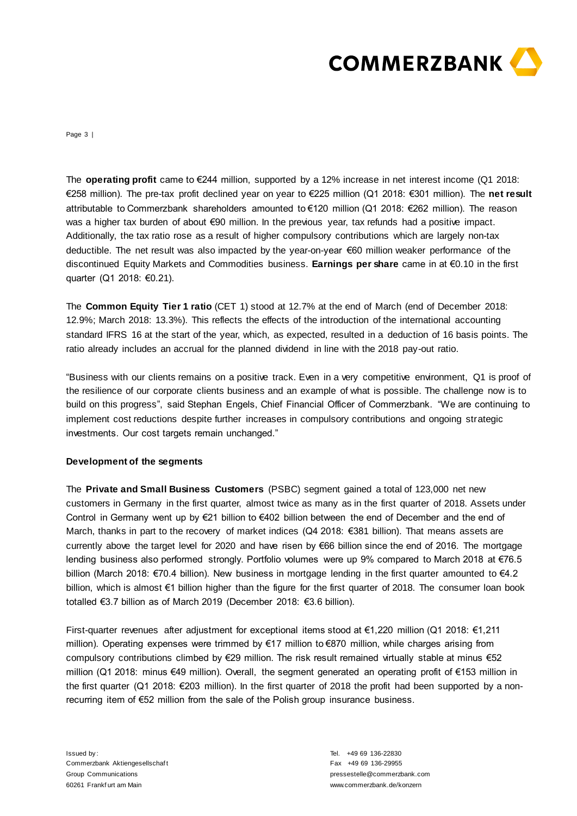

Page 3 |

The **operating profit** came to €244 million, supported by a 12% increase in net interest income (Q1 2018: €258 million). The pre-tax profit declined year on year to €225 million (Q1 2018: €301 million). The **net result**  attributable to Commerzbank shareholders amounted to €120 million (Q1 2018: €262 million). The reason was a higher tax burden of about €90 million. In the previous year, tax refunds had a positive impact. Additionally, the tax ratio rose as a result of higher compulsory contributions which are largely non-tax deductible. The net result was also impacted by the year-on-year €60 million weaker performance of the discontinued Equity Markets and Commodities business. **Earnings per share** came in at €0.10 in the first quarter (Q1 2018: €0.21).

The **Common Equity Tier 1 ratio** (CET 1) stood at 12.7% at the end of March (end of December 2018: 12.9%; March 2018: 13.3%). This reflects the effects of the introduction of the international accounting standard IFRS 16 at the start of the year, which, as expected, resulted in a deduction of 16 basis points. The ratio already includes an accrual for the planned dividend in line with the 2018 pay-out ratio.

"Business with our clients remains on a positive track. Even in a very competitive environment, Q1 is proof of the resilience of our corporate clients business and an example of what is possible. The challenge now is to build on this progress", said Stephan Engels, Chief Financial Officer of Commerzbank. "We are continuing to implement cost reductions despite further increases in compulsory contributions and ongoing strategic investments. Our cost targets remain unchanged."

### **Development of the segments**

The **Private and Small Business Customers** (PSBC) segment gained a total of 123,000 net new customers in Germany in the first quarter, almost twice as many as in the first quarter of 2018. Assets under Control in Germany went up by €21 billion to €402 billion between the end of December and the end of March, thanks in part to the recovery of market indices (Q4 2018: €381 billion). That means assets are currently above the target level for 2020 and have risen by €66 billion since the end of 2016. The mortgage lending business also performed strongly. Portfolio volumes were up 9% compared to March 2018 at €76.5 billion (March 2018: €70.4 billion). New business in mortgage lending in the first quarter amounted to €4.2 billion, which is almost €1 billion higher than the figure for the first quarter of 2018. The consumer loan book totalled €3.7 billion as of March 2019 (December 2018: €3.6 billion).

First-quarter revenues after adjustment for exceptional items stood at €1,220 million (Q1 2018: €1,211 million). Operating expenses were trimmed by €17 million to €870 million, while charges arising from compulsory contributions climbed by €29 million. The risk result remained virtually stable at minus €52 million (Q1 2018: minus €49 million). Overall, the segment generated an operating profit of €153 million in the first quarter (Q1 2018: €203 million). In the first quarter of 2018 the profit had been supported by a nonrecurring item of €52 million from the sale of the Polish group insurance business.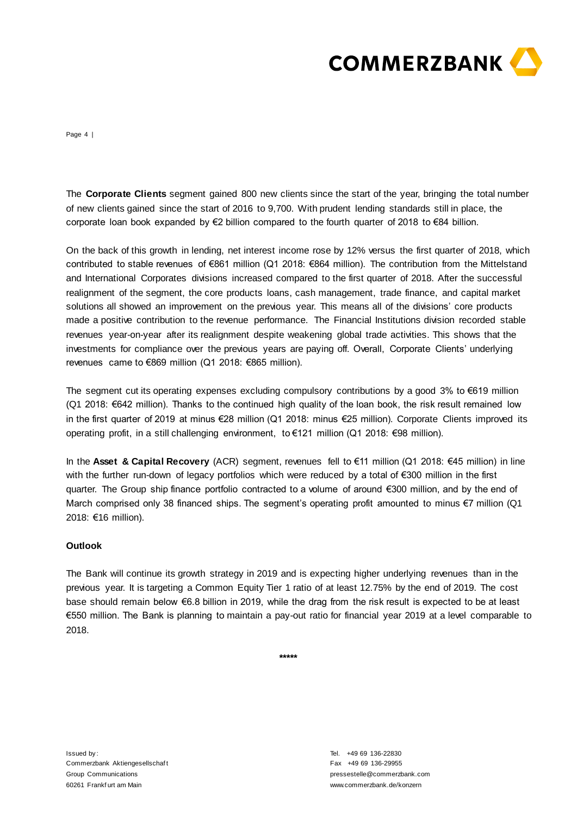

Page 4 |

The **Corporate Clients** segment gained 800 new clients since the start of the year, bringing the total number of new clients gained since the start of 2016 to 9,700. With prudent lending standards still in place, the corporate loan book expanded by €2 billion compared to the fourth quarter of 2018 to €84 billion.

On the back of this growth in lending, net interest income rose by 12% versus the first quarter of 2018, which contributed to stable revenues of €861 million (Q1 2018: €864 million). The contribution from the Mittelstand and International Corporates divisions increased compared to the first quarter of 2018. After the successful realignment of the segment, the core products loans, cash management, trade finance, and capital market solutions all showed an improvement on the previous year. This means all of the divisions' core products made a positive contribution to the revenue performance. The Financial Institutions division recorded stable revenues year-on-year after its realignment despite weakening global trade activities. This shows that the investments for compliance over the previous years are paying off. Overall, Corporate Clients' underlying revenues came to €869 million (Q1 2018: €865 million).

The segment cut its operating expenses excluding compulsory contributions by a good  $3\%$  to  $\epsilon$ 619 million (Q1 2018: €642 million). Thanks to the continued high quality of the loan book, the risk result remained low in the first quarter of 2019 at minus €28 million (Q1 2018: minus €25 million). Corporate Clients improved its operating profit, in a still challenging environment, to €121 million (Q1 2018: €98 million).

In the **Asset & Capital Recovery** (ACR) segment, revenues fell to €11 million (Q1 2018: €45 million) in line with the further run-down of legacy portfolios which were reduced by a total of €300 million in the first quarter. The Group ship finance portfolio contracted to a volume of around €300 million, and by the end of March comprised only 38 financed ships. The segment's operating profit amounted to minus €7 million (Q1 2018: €16 million).

### **Outlook**

The Bank will continue its growth strategy in 2019 and is expecting higher underlying revenues than in the previous year. It is targeting a Common Equity Tier 1 ratio of at least 12.75% by the end of 2019. The cost base should remain below €6.8 billion in 2019, while the drag from the risk result is expected to be at least €550 million. The Bank is planning to maintain a pay-out ratio for financial year 2019 at a level comparable to 2018.

**\*\*\*\*\***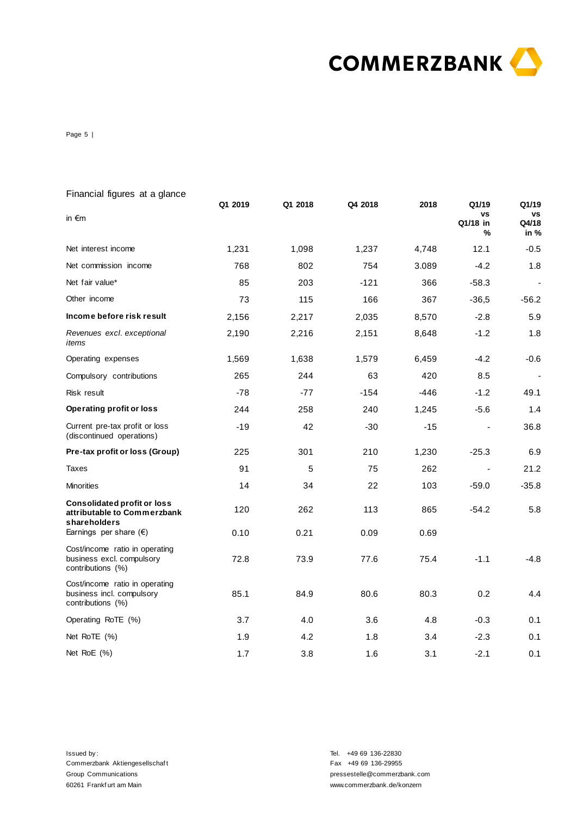

Page 5 |

| Financial figures at a glance                                                     |         |         |         |       |                                     |                                     |
|-----------------------------------------------------------------------------------|---------|---------|---------|-------|-------------------------------------|-------------------------------------|
| in $\epsilon$ m                                                                   | Q1 2019 | Q1 2018 | Q4 2018 | 2018  | Q1/19<br><b>VS</b><br>Q1/18 in<br>% | Q1/19<br><b>VS</b><br>Q4/18<br>in % |
| Net interest income                                                               | 1,231   | 1,098   | 1,237   | 4,748 | 12.1                                | $-0.5$                              |
| Net commission income                                                             | 768     | 802     | 754     | 3.089 | $-4.2$                              | 1.8                                 |
| Net fair value*                                                                   | 85      | 203     | $-121$  | 366   | $-58.3$                             | $\blacksquare$                      |
| Other income                                                                      | 73      | 115     | 166     | 367   | $-36,5$                             | -56.2                               |
| Income before risk result                                                         | 2,156   | 2,217   | 2,035   | 8,570 | $-2.8$                              | 5.9                                 |
| Revenues excl. exceptional<br>items                                               | 2,190   | 2,216   | 2,151   | 8,648 | $-1.2$                              | 1.8                                 |
| Operating expenses                                                                | 1,569   | 1,638   | 1,579   | 6,459 | $-4.2$                              | $-0.6$                              |
| Compulsory contributions                                                          | 265     | 244     | 63      | 420   | 8.5                                 |                                     |
| Risk result                                                                       | $-78$   | $-77$   | $-154$  | -446  | $-1.2$                              | 49.1                                |
| <b>Operating profit or loss</b>                                                   | 244     | 258     | 240     | 1,245 | $-5.6$                              | 1.4                                 |
| Current pre-tax profit or loss<br>(discontinued operations)                       | $-19$   | 42      | $-30$   | -15   |                                     | 36.8                                |
| Pre-tax profit or loss (Group)                                                    | 225     | 301     | 210     | 1,230 | $-25.3$                             | 6.9                                 |
| <b>Taxes</b>                                                                      | 91      | 5       | 75      | 262   | $\overline{\phantom{a}}$            | 21.2                                |
| <b>Minorities</b>                                                                 | 14      | 34      | 22      | 103   | -59.0                               | -35.8                               |
| <b>Consolidated profit or loss</b><br>attributable to Commerzbank<br>shareholders | 120     | 262     | 113     | 865   | $-54.2$                             | 5.8                                 |
| Earnings per share $(\epsilon)$                                                   | 0.10    | 0.21    | 0.09    | 0.69  |                                     |                                     |
| Cost/income ratio in operating<br>business excl. compulsory<br>contributions (%)  | 72.8    | 73.9    | 77.6    | 75.4  | $-1.1$                              | -4.8                                |
| Cost/income ratio in operating<br>business incl. compulsory<br>contributions (%)  | 85.1    | 84.9    | 80.6    | 80.3  | 0.2                                 | 4.4                                 |
| Operating RoTE (%)                                                                | 3.7     | 4.0     | 3.6     | 4.8   | $-0.3$                              | 0.1                                 |
| Net RoTE (%)                                                                      | 1.9     | 4.2     | 1.8     | 3.4   | $-2.3$                              | 0.1                                 |
| Net $RoE(%)$                                                                      | 1.7     | 3.8     | 1.6     | 3.1   | $-2.1$                              | 0.1                                 |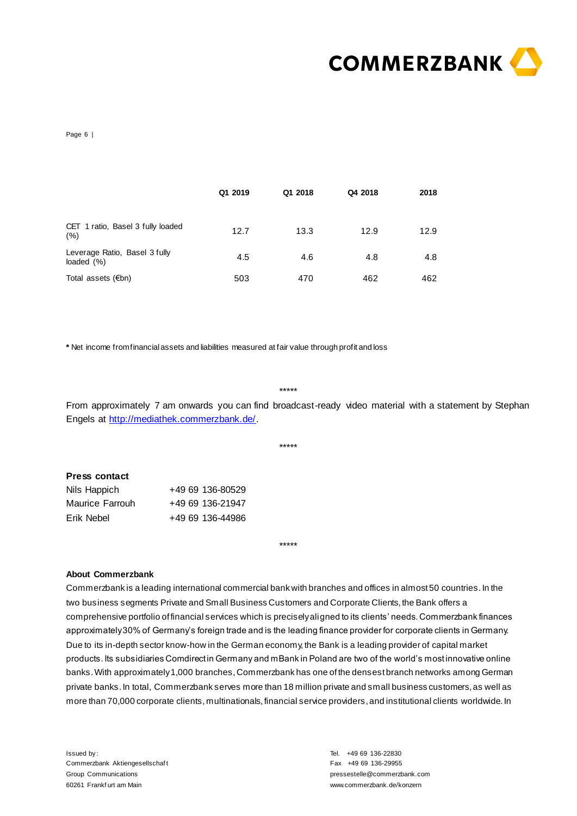

Page 6 |

|                                             | Q1 2019 | Q1 2018 | Q4 2018 | 2018 |
|---------------------------------------------|---------|---------|---------|------|
| CET 1 ratio, Basel 3 fully loaded<br>(%)    | 12.7    | 13.3    | 12.9    | 12.9 |
| Leverage Ratio, Basel 3 fully<br>loaded (%) | 4.5     | 4.6     | 4.8     | 4.8  |
| Total assets (€bn)                          | 503     | 470     | 462     | 462  |

**\*** Net income from financial assets and liabilities measured at fair value through profit and loss

\*\*\*\*\*

\*\*\*\*\*

\*\*\*\*\*

From approximately 7 am onwards you can find broadcast-ready video material with a statement by Stephan Engels at [http://mediathek.commerzbank.de/.](http://mediathek.commerzbank.de/)

| <b>Press contact</b> |                  |
|----------------------|------------------|
| Nils Happich         | +49 69 136-80529 |
| Maurice Farrouh      | +49 69 136-21947 |
| Erik Nebel           | +49 69 136-44986 |

#### **About Commerzbank**

Commerzbank is a leading international commercial bank with branches and offices in almost 50 countries. In the two business segments Private and Small Business Customers and Corporate Clients, the Bank offers a comprehensive portfolio of financial services which is precisely aligned to its clients' needs. Commerzbank finances approximately 30% of Germany's foreign trade and is the leading finance provider for corporate clients in Germany. Due to its in-depth sector know-how in the German economy, the Bank is a leading provider of capital market products. Its subsidiaries Comdirect in Germany and mBank in Poland are two of the world's most innovative online banks. With approximately 1,000 branches, Commerzbank has one of the densest branch networks among German private banks. In total, Commerzbank serves more than 18 million private and small business customers, as well as more than 70,000 corporate clients, multinationals, financial service providers, and institutional clients worldwide. In

Issued by : Commerzbank Aktiengesellschaf t Group Communications 60261 Frankf urt am Main